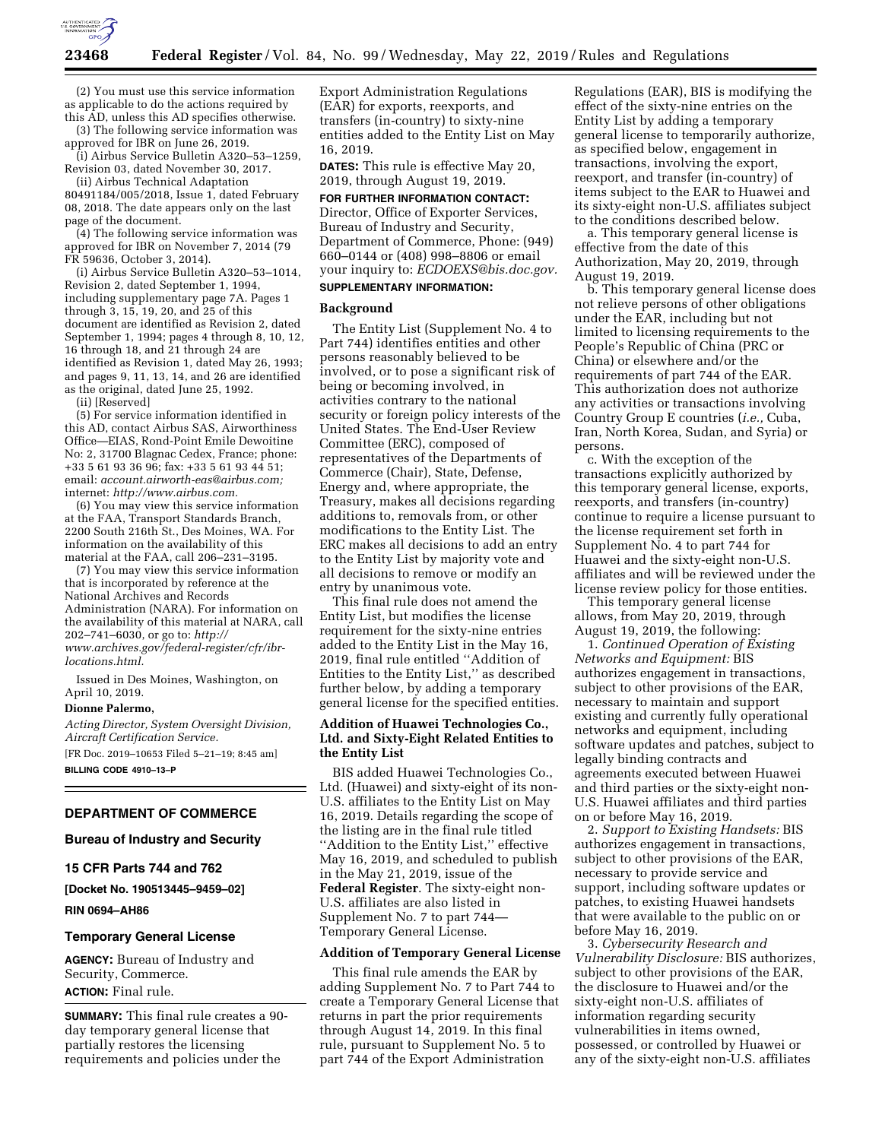

(2) You must use this service information as applicable to do the actions required by this AD, unless this AD specifies otherwise.

(3) The following service information was approved for IBR on June 26, 2019.

(i) Airbus Service Bulletin A320–53–1259, Revision 03, dated November 30, 2017.

(ii) Airbus Technical Adaptation 80491184/005/2018, Issue 1, dated February 08, 2018. The date appears only on the last page of the document.

(4) The following service information was approved for IBR on November 7, 2014 (79 FR 59636, October 3, 2014).

(i) Airbus Service Bulletin A320–53–1014, Revision 2, dated September 1, 1994, including supplementary page 7A. Pages 1 through 3, 15, 19, 20, and 25 of this document are identified as Revision 2, dated September 1, 1994; pages 4 through 8, 10, 12, 16 through 18, and 21 through 24 are identified as Revision 1, dated May 26, 1993; and pages 9, 11, 13, 14, and 26 are identified as the original, dated June 25, 1992.

(ii) [Reserved]

(5) For service information identified in this AD, contact Airbus SAS, Airworthiness Office—EIAS, Rond-Point Emile Dewoitine No: 2, 31700 Blagnac Cedex, France; phone: +33 5 61 93 36 96; fax: +33 5 61 93 44 51; email: *[account.airworth-eas@airbus.com;](mailto:account.airworth-eas@airbus.com)*  internet: *[http://www.airbus.com.](http://www.airbus.com)* 

(6) You may view this service information at the FAA, Transport Standards Branch, 2200 South 216th St., Des Moines, WA. For information on the availability of this material at the FAA, call 206–231–3195.

(7) You may view this service information that is incorporated by reference at the National Archives and Records Administration (NARA). For information on the availability of this material at NARA, call 202–741–6030, or go to: *[http://](http://www.archives.gov/federal-register/cfr/ibr-locations.html) [www.archives.gov/federal-register/cfr/ibr](http://www.archives.gov/federal-register/cfr/ibr-locations.html)[locations.html.](http://www.archives.gov/federal-register/cfr/ibr-locations.html)* 

Issued in Des Moines, Washington, on April 10, 2019.

#### **Dionne Palermo,**

*Acting Director, System Oversight Division, Aircraft Certification Service.*  [FR Doc. 2019–10653 Filed 5–21–19; 8:45 am]

**BILLING CODE 4910–13–P** 

### **DEPARTMENT OF COMMERCE**

#### **Bureau of Industry and Security**

#### **15 CFR Parts 744 and 762**

**[Docket No. 190513445–9459–02]** 

**RIN 0694–AH86** 

#### **Temporary General License**

**AGENCY:** Bureau of Industry and Security, Commerce. **ACTION:** Final rule.

**SUMMARY:** This final rule creates a 90 day temporary general license that partially restores the licensing requirements and policies under the

Export Administration Regulations (EAR) for exports, reexports, and transfers (in-country) to sixty-nine entities added to the Entity List on May 16, 2019.

**DATES:** This rule is effective May 20, 2019, through August 19, 2019.

#### **FOR FURTHER INFORMATION CONTACT:**

Director, Office of Exporter Services, Bureau of Industry and Security, Department of Commerce, Phone: (949) 660–0144 or (408) 998–8806 or email your inquiry to: *[ECDOEXS@bis.doc.gov.](mailto:ECDOEXS@bis.doc.gov)*  **SUPPLEMENTARY INFORMATION:** 

#### **Background**

The Entity List (Supplement No. 4 to Part 744) identifies entities and other persons reasonably believed to be involved, or to pose a significant risk of being or becoming involved, in activities contrary to the national security or foreign policy interests of the United States. The End-User Review Committee (ERC), composed of representatives of the Departments of Commerce (Chair), State, Defense, Energy and, where appropriate, the Treasury, makes all decisions regarding additions to, removals from, or other modifications to the Entity List. The ERC makes all decisions to add an entry to the Entity List by majority vote and all decisions to remove or modify an entry by unanimous vote.

This final rule does not amend the Entity List, but modifies the license requirement for the sixty-nine entries added to the Entity List in the May 16, 2019, final rule entitled ''Addition of Entities to the Entity List,'' as described further below, by adding a temporary general license for the specified entities.

### **Addition of Huawei Technologies Co., Ltd. and Sixty-Eight Related Entities to the Entity List**

BIS added Huawei Technologies Co., Ltd. (Huawei) and sixty-eight of its non-U.S. affiliates to the Entity List on May 16, 2019. Details regarding the scope of the listing are in the final rule titled ''Addition to the Entity List,'' effective May 16, 2019, and scheduled to publish in the May 21, 2019, issue of the **Federal Register**. The sixty-eight non-U.S. affiliates are also listed in Supplement No. 7 to part 744— Temporary General License.

### **Addition of Temporary General License**

This final rule amends the EAR by adding Supplement No. 7 to Part 744 to create a Temporary General License that returns in part the prior requirements through August 14, 2019. In this final rule, pursuant to Supplement No. 5 to part 744 of the Export Administration

Regulations (EAR), BIS is modifying the effect of the sixty-nine entries on the Entity List by adding a temporary general license to temporarily authorize, as specified below, engagement in transactions, involving the export, reexport, and transfer (in-country) of items subject to the EAR to Huawei and its sixty-eight non-U.S. affiliates subject to the conditions described below.

a. This temporary general license is effective from the date of this Authorization, May 20, 2019, through August 19, 2019.

b. This temporary general license does not relieve persons of other obligations under the EAR, including but not limited to licensing requirements to the People's Republic of China (PRC or China) or elsewhere and/or the requirements of part 744 of the EAR. This authorization does not authorize any activities or transactions involving Country Group E countries (*i.e.,* Cuba, Iran, North Korea, Sudan, and Syria) or persons.

c. With the exception of the transactions explicitly authorized by this temporary general license, exports, reexports, and transfers (in-country) continue to require a license pursuant to the license requirement set forth in Supplement No. 4 to part 744 for Huawei and the sixty-eight non-U.S. affiliates and will be reviewed under the license review policy for those entities.

This temporary general license allows, from May 20, 2019, through August 19, 2019, the following:

1. *Continued Operation of Existing Networks and Equipment:* BIS authorizes engagement in transactions, subject to other provisions of the EAR, necessary to maintain and support existing and currently fully operational networks and equipment, including software updates and patches, subject to legally binding contracts and agreements executed between Huawei and third parties or the sixty-eight non-U.S. Huawei affiliates and third parties on or before May 16, 2019.

2. *Support to Existing Handsets:* BIS authorizes engagement in transactions, subject to other provisions of the EAR, necessary to provide service and support, including software updates or patches, to existing Huawei handsets that were available to the public on or before May 16, 2019.

3. *Cybersecurity Research and Vulnerability Disclosure:* BIS authorizes, subject to other provisions of the EAR, the disclosure to Huawei and/or the sixty-eight non-U.S. affiliates of information regarding security vulnerabilities in items owned, possessed, or controlled by Huawei or any of the sixty-eight non-U.S. affiliates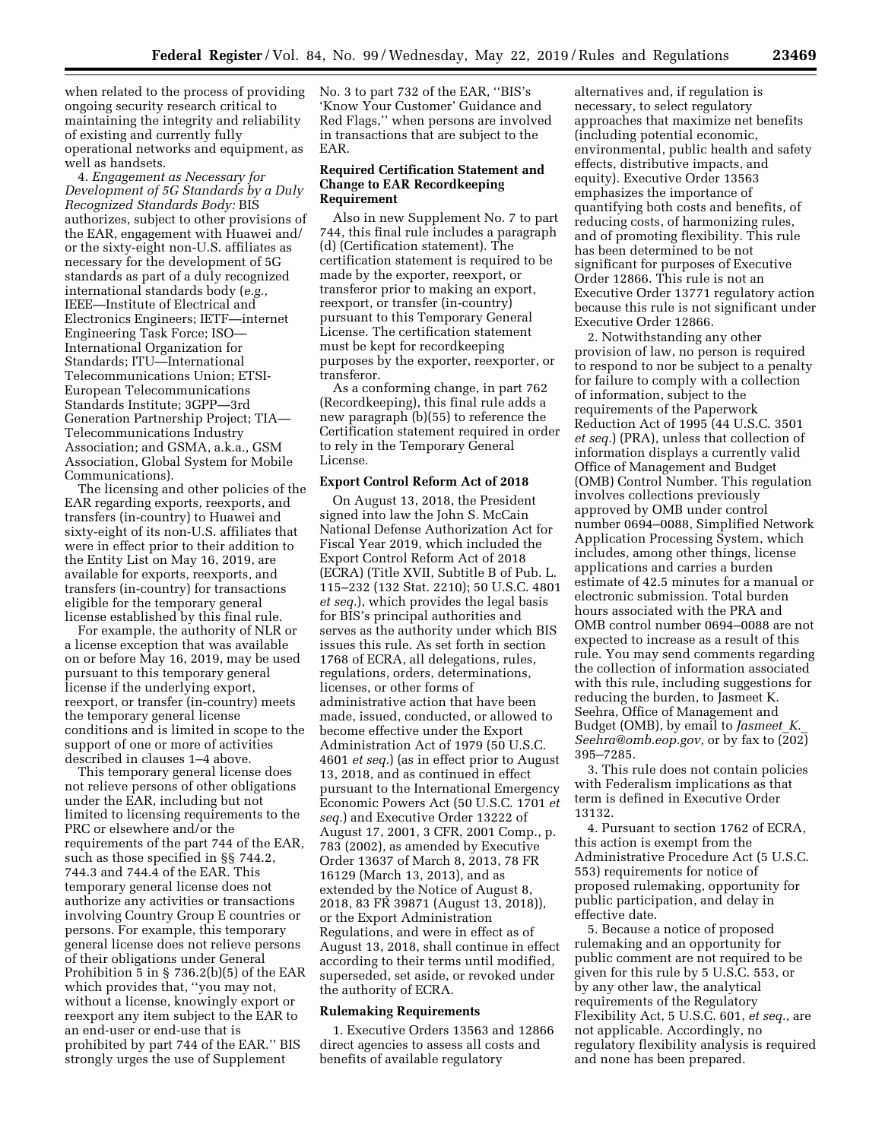when related to the process of providing ongoing security research critical to maintaining the integrity and reliability of existing and currently fully operational networks and equipment, as well as handsets.

4. *Engagement as Necessary for Development of 5G Standards by a Duly Recognized Standards Body:* BIS authorizes, subject to other provisions of the EAR, engagement with Huawei and/ or the sixty-eight non-U.S. affiliates as necessary for the development of 5G standards as part of a duly recognized international standards body (*e.g.,*  IEEE—Institute of Electrical and Electronics Engineers; IETF—internet Engineering Task Force; ISO— International Organization for Standards; ITU—International Telecommunications Union; ETSI-European Telecommunications Standards Institute; 3GPP—3rd Generation Partnership Project; TIA— Telecommunications Industry Association; and GSMA, a.k.a., GSM Association, Global System for Mobile Communications).

The licensing and other policies of the EAR regarding exports, reexports, and transfers (in-country) to Huawei and sixty-eight of its non-U.S. affiliates that were in effect prior to their addition to the Entity List on May 16, 2019, are available for exports, reexports, and transfers (in-country) for transactions eligible for the temporary general license established by this final rule.

For example, the authority of NLR or a license exception that was available on or before May 16, 2019, may be used pursuant to this temporary general license if the underlying export, reexport, or transfer (in-country) meets the temporary general license conditions and is limited in scope to the support of one or more of activities described in clauses 1–4 above.

This temporary general license does not relieve persons of other obligations under the EAR, including but not limited to licensing requirements to the PRC or elsewhere and/or the requirements of the part 744 of the EAR, such as those specified in §§ 744.2, 744.3 and 744.4 of the EAR. This temporary general license does not authorize any activities or transactions involving Country Group E countries or persons. For example, this temporary general license does not relieve persons of their obligations under General Prohibition 5 in § 736.2(b)(5) of the EAR which provides that, ''you may not, without a license, knowingly export or reexport any item subject to the EAR to an end-user or end-use that is prohibited by part 744 of the EAR.'' BIS strongly urges the use of Supplement

No. 3 to part 732 of the EAR, ''BIS's 'Know Your Customer' Guidance and Red Flags,'' when persons are involved in transactions that are subject to the EAR.

### **Required Certification Statement and Change to EAR Recordkeeping Requirement**

Also in new Supplement No. 7 to part 744, this final rule includes a paragraph (d) (Certification statement). The certification statement is required to be made by the exporter, reexport, or transferor prior to making an export, reexport, or transfer (in-country) pursuant to this Temporary General License. The certification statement must be kept for recordkeeping purposes by the exporter, reexporter, or transferor.

As a conforming change, in part 762 (Recordkeeping), this final rule adds a new paragraph (b)(55) to reference the Certification statement required in order to rely in the Temporary General License.

### **Export Control Reform Act of 2018**

On August 13, 2018, the President signed into law the John S. McCain National Defense Authorization Act for Fiscal Year 2019, which included the Export Control Reform Act of 2018 (ECRA) (Title XVII, Subtitle B of Pub. L. 115–232 (132 Stat. 2210); 50 U.S.C. 4801 *et seq.*), which provides the legal basis for BIS's principal authorities and serves as the authority under which BIS issues this rule. As set forth in section 1768 of ECRA, all delegations, rules, regulations, orders, determinations, licenses, or other forms of administrative action that have been made, issued, conducted, or allowed to become effective under the Export Administration Act of 1979 (50 U.S.C. 4601 *et seq.*) (as in effect prior to August 13, 2018, and as continued in effect pursuant to the International Emergency Economic Powers Act (50 U.S.C. 1701 *et seq.*) and Executive Order 13222 of August 17, 2001, 3 CFR, 2001 Comp., p. 783 (2002), as amended by Executive Order 13637 of March 8, 2013, 78 FR 16129 (March 13, 2013), and as extended by the Notice of August 8, 2018, 83 FR 39871 (August 13, 2018)), or the Export Administration Regulations, and were in effect as of August 13, 2018, shall continue in effect according to their terms until modified, superseded, set aside, or revoked under the authority of ECRA.

#### **Rulemaking Requirements**

1. Executive Orders 13563 and 12866 direct agencies to assess all costs and benefits of available regulatory

alternatives and, if regulation is necessary, to select regulatory approaches that maximize net benefits (including potential economic, environmental, public health and safety effects, distributive impacts, and equity). Executive Order 13563 emphasizes the importance of quantifying both costs and benefits, of reducing costs, of harmonizing rules, and of promoting flexibility. This rule has been determined to be not significant for purposes of Executive Order 12866. This rule is not an Executive Order 13771 regulatory action because this rule is not significant under Executive Order 12866.

2. Notwithstanding any other provision of law, no person is required to respond to nor be subject to a penalty for failure to comply with a collection of information, subject to the requirements of the Paperwork Reduction Act of 1995 (44 U.S.C. 3501 *et seq.*) (PRA), unless that collection of information displays a currently valid Office of Management and Budget (OMB) Control Number. This regulation involves collections previously approved by OMB under control number 0694–0088, Simplified Network Application Processing System, which includes, among other things, license applications and carries a burden estimate of 42.5 minutes for a manual or electronic submission. Total burden hours associated with the PRA and OMB control number 0694–0088 are not expected to increase as a result of this rule. You may send comments regarding the collection of information associated with this rule, including suggestions for reducing the burden, to Jasmeet K. Seehra, Office of Management and Budget (OMB), by email to *[Jasmeet](mailto:Jasmeet_K._Seehra@omb.eop.gov)*\_*K.*\_ *[Seehra@omb.eop.gov,](mailto:Jasmeet_K._Seehra@omb.eop.gov)* or by fax to (202) 395–7285.

3. This rule does not contain policies with Federalism implications as that term is defined in Executive Order 13132.

4. Pursuant to section 1762 of ECRA, this action is exempt from the Administrative Procedure Act (5 U.S.C. 553) requirements for notice of proposed rulemaking, opportunity for public participation, and delay in effective date.

5. Because a notice of proposed rulemaking and an opportunity for public comment are not required to be given for this rule by 5 U.S.C. 553, or by any other law, the analytical requirements of the Regulatory Flexibility Act, 5 U.S.C. 601, *et seq.,* are not applicable. Accordingly, no regulatory flexibility analysis is required and none has been prepared.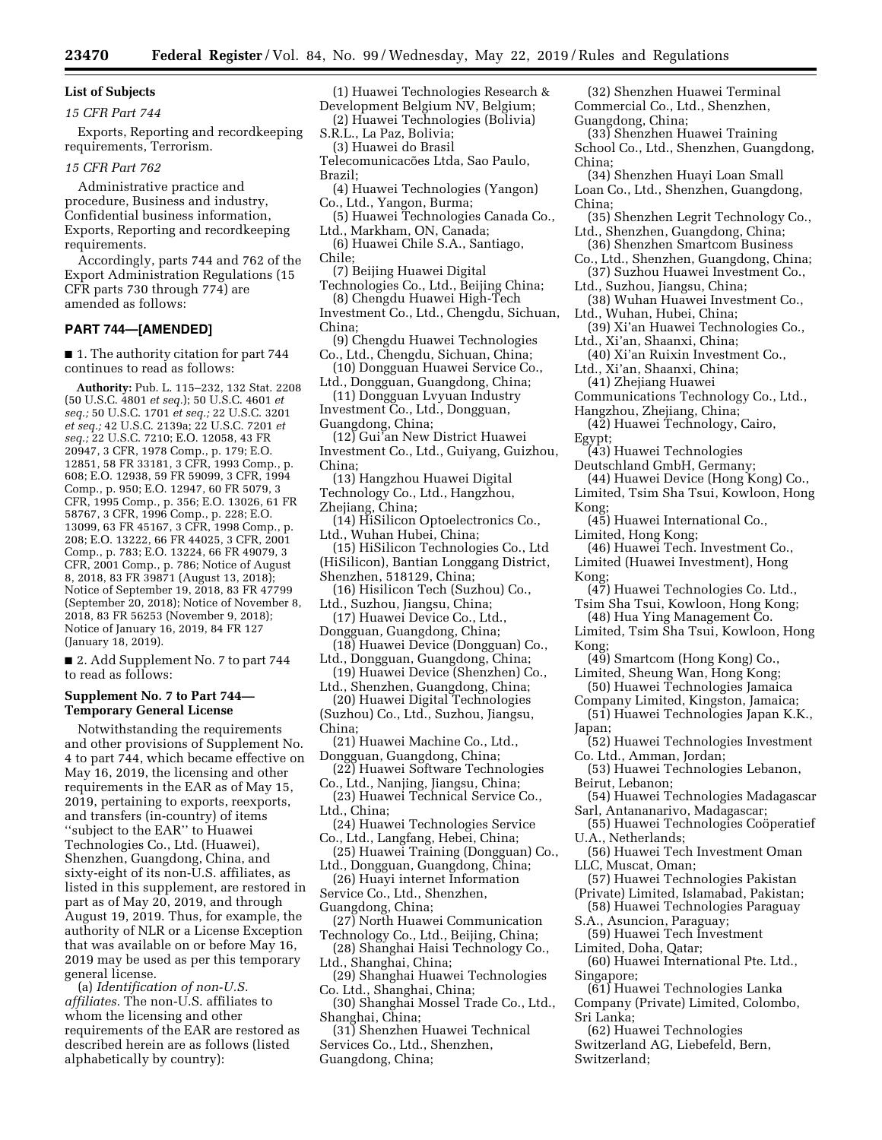# **List of Subjects**

### *15 CFR Part 744*

Exports, Reporting and recordkeeping requirements, Terrorism.

*15 CFR Part 762* 

Administrative practice and procedure, Business and industry, Confidential business information, Exports, Reporting and recordkeeping requirements.

Accordingly, parts 744 and 762 of the Export Administration Regulations (15 CFR parts 730 through 774) are amended as follows:

### **PART 744—[AMENDED]**

■ 1. The authority citation for part 744 continues to read as follows:

**Authority:** Pub. L. 115–232, 132 Stat. 2208 (50 U.S.C. 4801 *et seq.*); 50 U.S.C. 4601 *et seq.;* 50 U.S.C. 1701 *et seq.;* 22 U.S.C. 3201 *et seq.;* 42 U.S.C. 2139a; 22 U.S.C. 7201 *et seq.;* 22 U.S.C. 7210; E.O. 12058, 43 FR 20947, 3 CFR, 1978 Comp., p. 179; E.O. 12851, 58 FR 33181, 3 CFR, 1993 Comp., p. 608; E.O. 12938, 59 FR 59099, 3 CFR, 1994 Comp., p. 950; E.O. 12947, 60 FR 5079, 3 CFR, 1995 Comp., p. 356; E.O. 13026, 61 FR 58767, 3 CFR, 1996 Comp., p. 228; E.O. 13099, 63 FR 45167, 3 CFR, 1998 Comp., p. 208; E.O. 13222, 66 FR 44025, 3 CFR, 2001 Comp., p. 783; E.O. 13224, 66 FR 49079, 3 CFR, 2001 Comp., p. 786; Notice of August 8, 2018, 83 FR 39871 (August 13, 2018); Notice of September 19, 2018, 83 FR 47799 (September 20, 2018); Notice of November 8, 2018, 83 FR 56253 (November 9, 2018); Notice of January 16, 2019, 84 FR 127 (January 18, 2019).

■ 2. Add Supplement No. 7 to part 744 to read as follows:

# **Supplement No. 7 to Part 744— Temporary General License**

Notwithstanding the requirements and other provisions of Supplement No. 4 to part 744, which became effective on May 16, 2019, the licensing and other requirements in the EAR as of May 15, 2019, pertaining to exports, reexports, and transfers (in-country) of items ''subject to the EAR'' to Huawei Technologies Co., Ltd. (Huawei), Shenzhen, Guangdong, China, and sixty-eight of its non-U.S. affiliates, as listed in this supplement, are restored in part as of May 20, 2019, and through August 19, 2019. Thus, for example, the authority of NLR or a License Exception that was available on or before May 16, 2019 may be used as per this temporary general license.

(a) *Identification of non-U.S. affiliates.* The non-U.S. affiliates to whom the licensing and other requirements of the EAR are restored as described herein are as follows (listed alphabetically by country):

(1) Huawei Technologies Research & Development Belgium NV, Belgium;

(2) Huawei Technologies (Bolivia) S.R.L., La Paz, Bolivia;

(3) Huawei do Brasil Telecomunicacões Ltda, Sao Paulo, Brazil;

- (4) Huawei Technologies (Yangon) Co., Ltd., Yangon, Burma;
- (5) Huawei Technologies Canada Co., Ltd., Markham, ON, Canada;
- (6) Huawei Chile S.A., Santiago, Chile;
- (7) Beijing Huawei Digital Technologies Co., Ltd., Beijing China;

(8) Chengdu Huawei High-Tech Investment Co., Ltd., Chengdu, Sichuan, China;

(9) Chengdu Huawei Technologies Co., Ltd., Chengdu, Sichuan, China;

- (10) Dongguan Huawei Service Co., Ltd., Dongguan, Guangdong, China;
- (11) Dongguan Lvyuan Industry Investment Co., Ltd., Dongguan,
- Guangdong, China;
- (12) Gui'an New District Huawei Investment Co., Ltd., Guiyang, Guizhou, China;
- (13) Hangzhou Huawei Digital Technology Co., Ltd., Hangzhou, Zhejiang, China;
- (14) HiSilicon Optoelectronics Co., Ltd., Wuhan Hubei, China;
- (15) HiSilicon Technologies Co., Ltd (HiSilicon), Bantian Longgang District, Shenzhen, 518129, China;
- (16) Hisilicon Tech (Suzhou) Co., Ltd., Suzhou, Jiangsu, China;
- (17) Huawei Device Co., Ltd., Dongguan, Guangdong, China;
- (18) Huawei Device (Dongguan) Co., Ltd., Dongguan, Guangdong, China;
- (19) Huawei Device (Shenzhen) Co., Ltd., Shenzhen, Guangdong, China;
- (20) Huawei Digital Technologies (Suzhou) Co., Ltd., Suzhou, Jiangsu, China;
- (21) Huawei Machine Co., Ltd., Dongguan, Guangdong, China;
- (22) Huawei Software Technologies
- Co., Ltd., Nanjing, Jiangsu, China; (23) Huawei Technical Service Co., Ltd., China;
- (24) Huawei Technologies Service Co., Ltd., Langfang, Hebei, China;
- (25) Huawei Training (Dongguan) Co., Ltd., Dongguan, Guangdong, China;
- (26) Huayi internet Information
- Service Co., Ltd., Shenzhen,
- Guangdong, China;
- (27) North Huawei Communication Technology Co., Ltd., Beijing, China;
- (28) Shanghai Haisi Technology Co., Ltd., Shanghai, China;
- (29) Shanghai Huawei Technologies Co. Ltd., Shanghai, China;
- (30) Shanghai Mossel Trade Co., Ltd., Shanghai, China;

(31) Shenzhen Huawei Technical Services Co., Ltd., Shenzhen, Guangdong, China;

(32) Shenzhen Huawei Terminal Commercial Co., Ltd., Shenzhen, Guangdong, China;

- (33) Shenzhen Huawei Training School Co., Ltd., Shenzhen, Guangdong, China;
- (34) Shenzhen Huayi Loan Small Loan Co., Ltd., Shenzhen, Guangdong, China;
- (35) Shenzhen Legrit Technology Co., Ltd., Shenzhen, Guangdong, China;
- (36) Shenzhen Smartcom Business Co., Ltd., Shenzhen, Guangdong, China;
- (37) Suzhou Huawei Investment Co.,
- Ltd., Suzhou, Jiangsu, China; (38) Wuhan Huawei Investment Co.,
- Ltd., Wuhan, Hubei, China; (39) Xi'an Huawei Technologies Co.,
- Ltd., Xi'an, Shaanxi, China;
- (40) Xi'an Ruixin Investment Co., Ltd., Xi'an, Shaanxi, China;
- (41) Zhejiang Huawei
- Communications Technology Co., Ltd., Hangzhou, Zhejiang, China;
- (42) Huawei Technology, Cairo,
- Egypt;
	- (43) Huawei Technologies
- Deutschland GmbH, Germany;
- (44) Huawei Device (Hong Kong) Co., Limited, Tsim Sha Tsui, Kowloon, Hong Kong;
- (45) Huawei International Co., Limited, Hong Kong;
- (46) Huawei Tech. Investment Co., Limited (Huawei Investment), Hong Kong;
- (47) Huawei Technologies Co. Ltd., Tsim Sha Tsui, Kowloon, Hong Kong;
	- (48) Hua Ying Management Co.
- Limited, Tsim Sha Tsui, Kowloon, Hong Kong;
- (49) Smartcom (Hong Kong) Co., Limited, Sheung Wan, Hong Kong;
- (50) Huawei Technologies Jamaica Company Limited, Kingston, Jamaica;
- (51) Huawei Technologies Japan K.K., Japan;
- (52) Huawei Technologies Investment Co. Ltd., Amman, Jordan;
- (53) Huawei Technologies Lebanon, Beirut, Lebanon;
- (54) Huawei Technologies Madagascar Sarl, Antananarivo, Madagascar;
- (55) Huawei Technologies Coöperatief U.A., Netherlands;
- (56) Huawei Tech Investment Oman LLC, Muscat, Oman;
- (57) Huawei Technologies Pakistan
- (Private) Limited, Islamabad, Pakistan;
- (58) Huawei Technologies Paraguay S.A., Asuncion, Paraguay;
- (59) Huawei Tech Investment
- Limited, Doha, Qatar;
- (60) Huawei International Pte. Ltd., Singapore;
- (61) Huawei Technologies Lanka Company (Private) Limited, Colombo, Sri Lanka;

(62) Huawei Technologies Switzerland AG, Liebefeld, Bern, Switzerland;